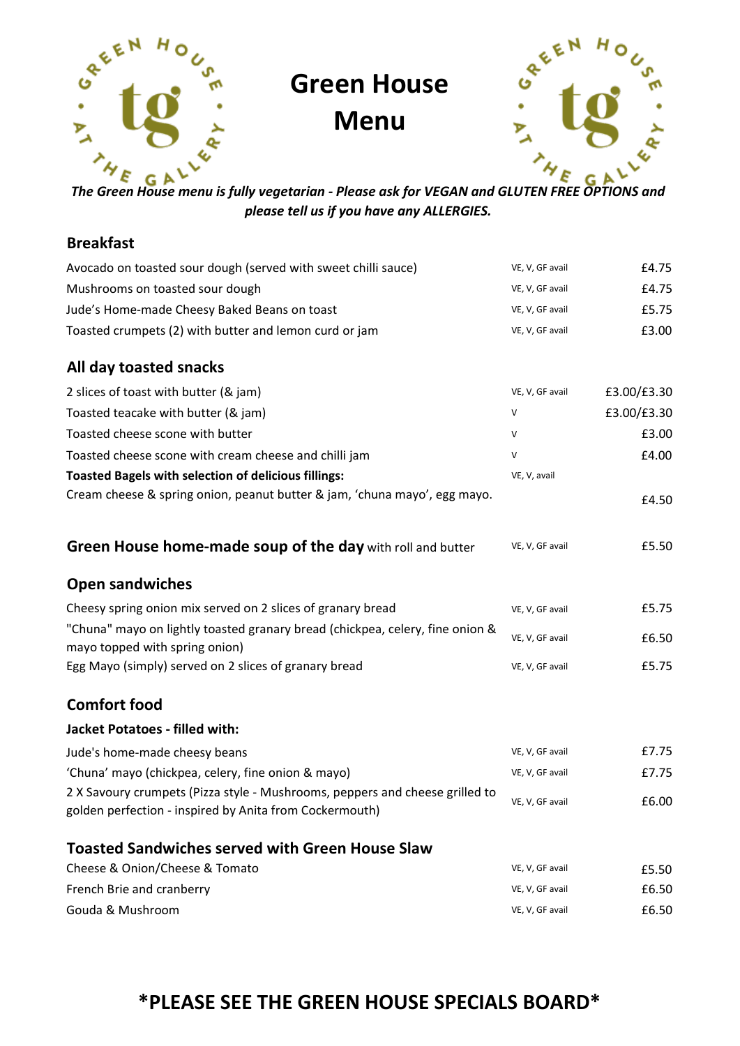

# Green House

Menu



The Green House menu is fully vegetarian - Please ask for VEGAN and GLUTEN FREE OPTIONS and please tell us if you have any ALLERGIES.

### Breakfast

| Avocado on toasted sour dough (served with sweet chilli sauce)                                                                          | VE, V, GF avail | £4.75       |
|-----------------------------------------------------------------------------------------------------------------------------------------|-----------------|-------------|
| Mushrooms on toasted sour dough                                                                                                         | VE, V, GF avail | £4.75       |
| Jude's Home-made Cheesy Baked Beans on toast                                                                                            | VE, V, GF avail | £5.75       |
| Toasted crumpets (2) with butter and lemon curd or jam                                                                                  | VE, V, GF avail | £3.00       |
| All day toasted snacks                                                                                                                  |                 |             |
| 2 slices of toast with butter (& jam)                                                                                                   | VE, V, GF avail | £3.00/£3.30 |
| Toasted teacake with butter (& jam)                                                                                                     | V               | £3.00/£3.30 |
| Toasted cheese scone with butter                                                                                                        | V               | £3.00       |
| Toasted cheese scone with cream cheese and chilli jam                                                                                   | V               | £4.00       |
| <b>Toasted Bagels with selection of delicious fillings:</b>                                                                             | VE, V, avail    |             |
| Cream cheese & spring onion, peanut butter & jam, 'chuna mayo', egg mayo.                                                               |                 | £4.50       |
| Green House home-made soup of the day with roll and butter                                                                              | VE, V, GF avail | £5.50       |
| <b>Open sandwiches</b>                                                                                                                  |                 |             |
| Cheesy spring onion mix served on 2 slices of granary bread                                                                             | VE, V, GF avail | £5.75       |
| "Chuna" mayo on lightly toasted granary bread (chickpea, celery, fine onion &<br>mayo topped with spring onion)                         | VE, V, GF avail | £6.50       |
| Egg Mayo (simply) served on 2 slices of granary bread                                                                                   | VE, V, GF avail | £5.75       |
| <b>Comfort food</b>                                                                                                                     |                 |             |
| <b>Jacket Potatoes - filled with:</b>                                                                                                   |                 |             |
| Jude's home-made cheesy beans                                                                                                           | VE, V, GF avail | £7.75       |
| 'Chuna' mayo (chickpea, celery, fine onion & mayo)                                                                                      | VE, V, GF avail | £7.75       |
| 2 X Savoury crumpets (Pizza style - Mushrooms, peppers and cheese grilled to<br>golden perfection - inspired by Anita from Cockermouth) | VE, V, GF avail | £6.00       |
| <b>Toasted Sandwiches served with Green House Slaw</b>                                                                                  |                 |             |
| Cheese & Onion/Cheese & Tomato                                                                                                          | VE, V, GF avail | £5.50       |
| French Brie and cranberry                                                                                                               | VE, V, GF avail | £6.50       |
| Gouda & Mushroom                                                                                                                        | VE, V, GF avail | £6.50       |

### \*PLEASE SEE THE GREEN HOUSE SPECIALS BOARD\*